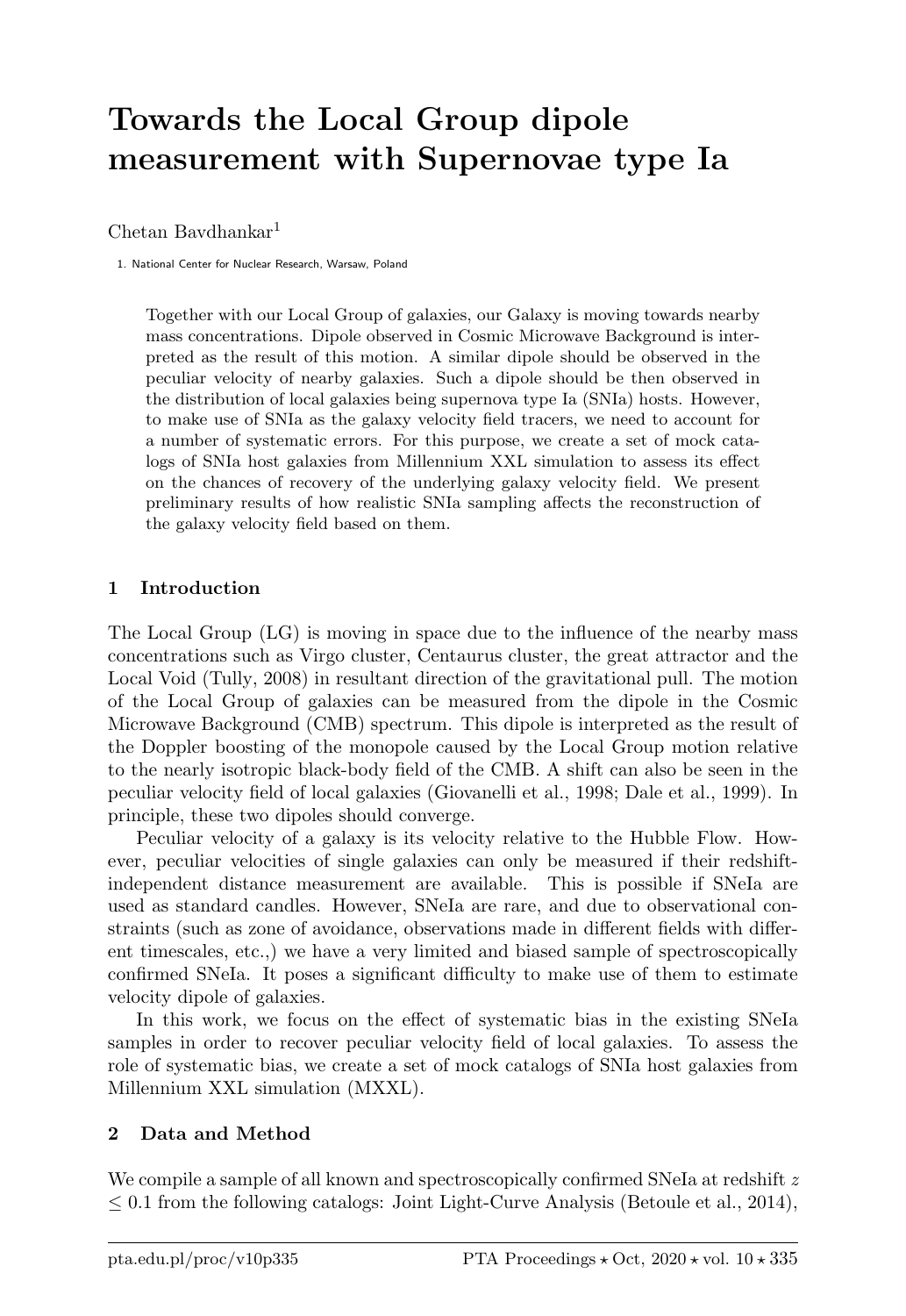# Towards the Local Group dipole measurement with Supernovae type Ia

 $Chetan$  Baydhankar<sup>1</sup>

1. National Center for Nuclear Research, Warsaw, Poland

Together with our Local Group of galaxies, our Galaxy is moving towards nearby mass concentrations. Dipole observed in Cosmic Microwave Background is interpreted as the result of this motion. A similar dipole should be observed in the peculiar velocity of nearby galaxies. Such a dipole should be then observed in the distribution of local galaxies being supernova type Ia (SNIa) hosts. However, to make use of SNIa as the galaxy velocity field tracers, we need to account for a number of systematic errors. For this purpose, we create a set of mock catalogs of SNIa host galaxies from Millennium XXL simulation to assess its effect on the chances of recovery of the underlying galaxy velocity field. We present preliminary results of how realistic SNIa sampling affects the reconstruction of the galaxy velocity field based on them.

## 1 Introduction

The Local Group (LG) is moving in space due to the influence of the nearby mass concentrations such as Virgo cluster, Centaurus cluster, the great attractor and the Local Void (Tully, 2008) in resultant direction of the gravitational pull. The motion of the Local Group of galaxies can be measured from the dipole in the Cosmic Microwave Background (CMB) spectrum. This dipole is interpreted as the result of the Doppler boosting of the monopole caused by the Local Group motion relative to the nearly isotropic black-body field of the CMB. A shift can also be seen in the peculiar velocity field of local galaxies (Giovanelli et al., 1998; Dale et al., 1999). In principle, these two dipoles should converge.

Peculiar velocity of a galaxy is its velocity relative to the Hubble Flow. However, peculiar velocities of single galaxies can only be measured if their redshiftindependent distance measurement are available. This is possible if SNeIa are used as standard candles. However, SNeIa are rare, and due to observational constraints (such as zone of avoidance, observations made in different fields with different timescales, etc.,) we have a very limited and biased sample of spectroscopically confirmed SNeIa. It poses a significant difficulty to make use of them to estimate velocity dipole of galaxies.

In this work, we focus on the effect of systematic bias in the existing SNeIa samples in order to recover peculiar velocity field of local galaxies. To assess the role of systematic bias, we create a set of mock catalogs of SNIa host galaxies from Millennium XXL simulation (MXXL).

## 2 Data and Method

We compile a sample of all known and spectroscopically confirmed SNeIa at redshift  $z$  $\leq$  0.1 from the following catalogs: Joint Light-Curve Analysis (Betoule et al., 2014),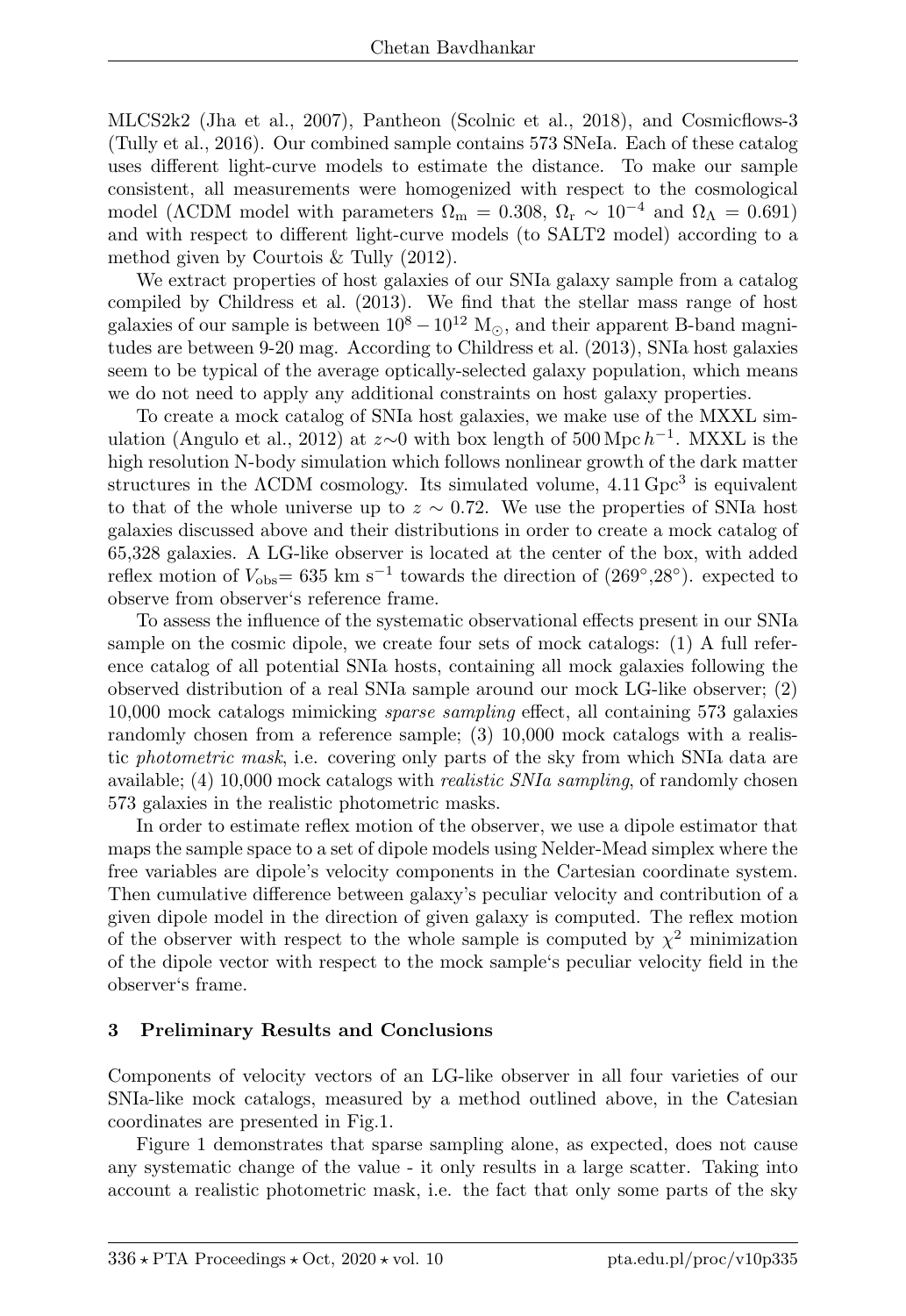MLCS2k2 (Jha et al., 2007), Pantheon (Scolnic et al., 2018), and Cosmicflows-3 (Tully et al., 2016). Our combined sample contains 573 SNeIa. Each of these catalog uses different light-curve models to estimate the distance. To make our sample consistent, all measurements were homogenized with respect to the cosmological model ( $\Lambda$ CDM model with parameters  $\Omega_{\rm m} = 0.308, \Omega_{\rm r} \sim 10^{-4}$  and  $\Omega_{\Lambda} = 0.691$ ) and with respect to different light-curve models (to SALT2 model) according to a method given by Courtois & Tully (2012).

We extract properties of host galaxies of our SNIa galaxy sample from a catalog compiled by Childress et al. (2013). We find that the stellar mass range of host galaxies of our sample is between  $10^8 - 10^{12}$  M<sub> $\odot$ </sub>, and their apparent B-band magnitudes are between 9-20 mag. According to Childress et al. (2013), SNIa host galaxies seem to be typical of the average optically-selected galaxy population, which means we do not need to apply any additional constraints on host galaxy properties.

To create a mock catalog of SNIa host galaxies, we make use of the MXXL simulation (Angulo et al., 2012) at  $z \sim 0$  with box length of 500 Mpc  $h^{-1}$ . MXXL is the high resolution N-body simulation which follows nonlinear growth of the dark matter structures in the  $\Lambda$ CDM cosmology. Its simulated volume,  $4.11 \text{ Gpc}^3$  is equivalent to that of the whole universe up to  $z \sim 0.72$ . We use the properties of SNIa host galaxies discussed above and their distributions in order to create a mock catalog of 65,328 galaxies. A LG-like observer is located at the center of the box, with added reflex motion of  $V_{\text{obs}}$ = 635 km s<sup>-1</sup> towards the direction of (269°,28°). expected to observe from observer's reference frame.

To assess the influence of the systematic observational effects present in our SNIa sample on the cosmic dipole, we create four sets of mock catalogs: (1) A full reference catalog of all potential SNIa hosts, containing all mock galaxies following the observed distribution of a real SNIa sample around our mock LG-like observer; (2) 10,000 mock catalogs mimicking sparse sampling effect, all containing 573 galaxies randomly chosen from a reference sample; (3) 10,000 mock catalogs with a realistic photometric mask, i.e. covering only parts of the sky from which SNIa data are available; (4) 10,000 mock catalogs with *realistic SNIa sampling*, of randomly chosen 573 galaxies in the realistic photometric masks.

In order to estimate reflex motion of the observer, we use a dipole estimator that maps the sample space to a set of dipole models using Nelder-Mead simplex where the free variables are dipole's velocity components in the Cartesian coordinate system. Then cumulative difference between galaxy's peculiar velocity and contribution of a given dipole model in the direction of given galaxy is computed. The reflex motion of the observer with respect to the whole sample is computed by  $\chi^2$  minimization of the dipole vector with respect to the mock sample's peculiar velocity field in the observer's frame.

#### 3 Preliminary Results and Conclusions

Components of velocity vectors of an LG-like observer in all four varieties of our SNIa-like mock catalogs, measured by a method outlined above, in the Catesian coordinates are presented in Fig.1.

Figure 1 demonstrates that sparse sampling alone, as expected, does not cause any systematic change of the value - it only results in a large scatter. Taking into account a realistic photometric mask, i.e. the fact that only some parts of the sky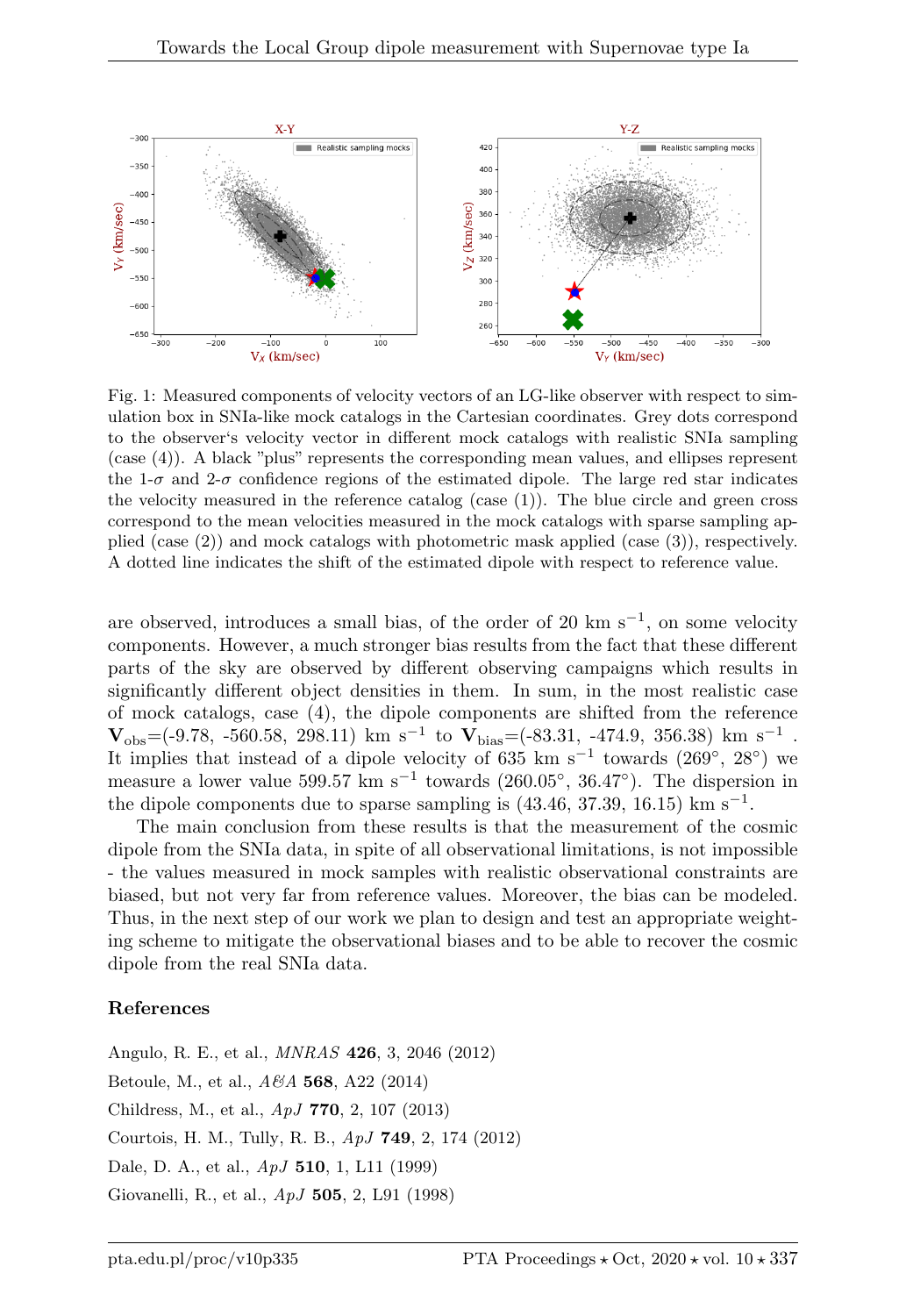

Fig. 1: Measured components of velocity vectors of an LG-like observer with respect to simulation box in SNIa-like mock catalogs in the Cartesian coordinates. Grey dots correspond to the observer's velocity vector in different mock catalogs with realistic SNIa sampling (case (4)). A black "plus" represents the corresponding mean values, and ellipses represent the 1- $\sigma$  and 2- $\sigma$  confidence regions of the estimated dipole. The large red star indicates the velocity measured in the reference catalog (case  $(1)$ ). The blue circle and green cross correspond to the mean velocities measured in the mock catalogs with sparse sampling applied (case (2)) and mock catalogs with photometric mask applied (case (3)), respectively. A dotted line indicates the shift of the estimated dipole with respect to reference value.

are observed, introduces a small bias, of the order of 20 km s<sup> $-1$ </sup>, on some velocity components. However, a much stronger bias results from the fact that these different parts of the sky are observed by different observing campaigns which results in significantly different object densities in them. In sum, in the most realistic case of mock catalogs, case (4), the dipole components are shifted from the reference  $V_{obs}$  = (-9.78, -560.58, 298.11) km s<sup>-1</sup> to  $V_{bias}$  = (-83.31, -474.9, 356.38) km s<sup>-1</sup>. It implies that instead of a dipole velocity of 635 km s<sup>-1</sup> towards  $(269^{\circ}, 28^{\circ})$  we measure a lower value  $599.57 \text{ km s}^{-1}$  towards  $(260.05^{\circ}, 36.47^{\circ})$ . The dispersion in the dipole components due to sparse sampling is  $(43.46, 37.39, 16.15)$  km s<sup>-1</sup>.

The main conclusion from these results is that the measurement of the cosmic dipole from the SNIa data, in spite of all observational limitations, is not impossible - the values measured in mock samples with realistic observational constraints are biased, but not very far from reference values. Moreover, the bias can be modeled. Thus, in the next step of our work we plan to design and test an appropriate weighting scheme to mitigate the observational biases and to be able to recover the cosmic dipole from the real SNIa data.

#### References

Angulo, R. E., et al., MNRAS 426, 3, 2046 (2012) Betoule, M., et al., A&A 568, A22 (2014) Childress, M., et al., ApJ 770, 2, 107 (2013) Courtois, H. M., Tully, R. B., ApJ 749, 2, 174 (2012) Dale, D. A., et al., ApJ 510, 1, L11 (1999) Giovanelli, R., et al., ApJ 505, 2, L91 (1998)